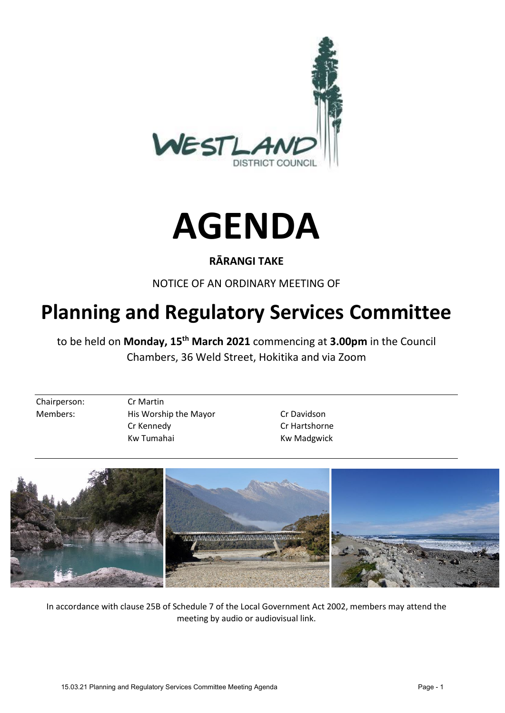



# **RĀRANGI TAKE**

NOTICE OF AN ORDINARY MEETING OF

# **Planning and Regulatory Services Committee**

to be held on **Monday, 15th March 2021** commencing at **3.00pm** in the Council Chambers, 36 Weld Street, Hokitika and via Zoom

Chairperson: Cr Martin

Members: His Worship the Mayor Cr Davidson Cr Kennedy Cr Hartshorne Kw Tumahai Kw Madgwick



In accordance with clause 25B of Schedule 7 of the Local Government Act 2002, members may attend the meeting by audio or audiovisual link.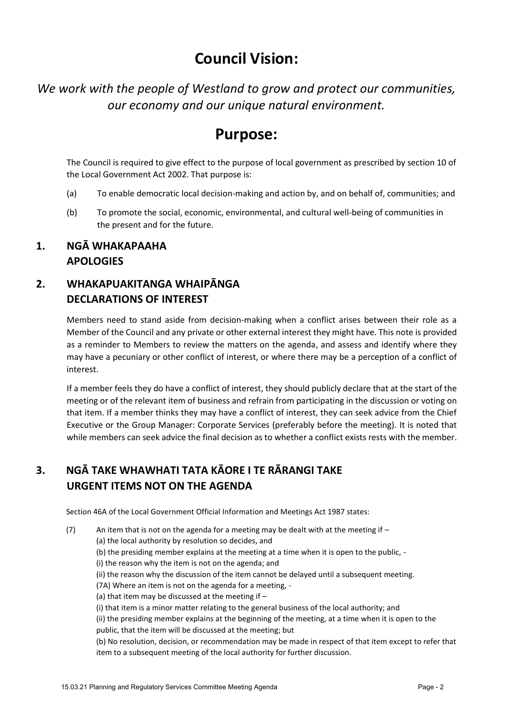# **Council Vision:**

*We work with the people of Westland to grow and protect our communities, our economy and our unique natural environment.*

# **Purpose:**

The Council is required to give effect to the purpose of local government as prescribed by section 10 of the Local Government Act 2002. That purpose is:

- (a) To enable democratic local decision-making and action by, and on behalf of, communities; and
- (b) To promote the social, economic, environmental, and cultural well-being of communities in the present and for the future.

## **1. NGĀ WHAKAPAAHA APOLOGIES**

# **2. WHAKAPUAKITANGA WHAIPĀNGA DECLARATIONS OF INTEREST**

Members need to stand aside from decision-making when a conflict arises between their role as a Member of the Council and any private or other external interest they might have. This note is provided as a reminder to Members to review the matters on the agenda, and assess and identify where they may have a pecuniary or other conflict of interest, or where there may be a perception of a conflict of interest.

If a member feels they do have a conflict of interest, they should publicly declare that at the start of the meeting or of the relevant item of business and refrain from participating in the discussion or voting on that item. If a member thinks they may have a conflict of interest, they can seek advice from the Chief Executive or the Group Manager: Corporate Services (preferably before the meeting). It is noted that while members can seek advice the final decision as to whether a conflict exists rests with the member.

# **3. NGĀ TAKE WHAWHATI TATA KĀORE I TE RĀRANGI TAKE URGENT ITEMS NOT ON THE AGENDA**

Section 46A of the Local Government Official Information and Meetings Act 1987 states:

(7) An item that is not on the agenda for a meeting may be dealt with at the meeting if  $-$ 

(a) the local authority by resolution so decides, and

- (b) the presiding member explains at the meeting at a time when it is open to the public, -
- (i) the reason why the item is not on the agenda; and
	- (ii) the reason why the discussion of the item cannot be delayed until a subsequent meeting.

(7A) Where an item is not on the agenda for a meeting, -

- (a) that item may be discussed at the meeting if  $-$
- (i) that item is a minor matter relating to the general business of the local authority; and

(ii) the presiding member explains at the beginning of the meeting, at a time when it is open to the public, that the item will be discussed at the meeting; but

(b) No resolution, decision, or recommendation may be made in respect of that item except to refer that item to a subsequent meeting of the local authority for further discussion.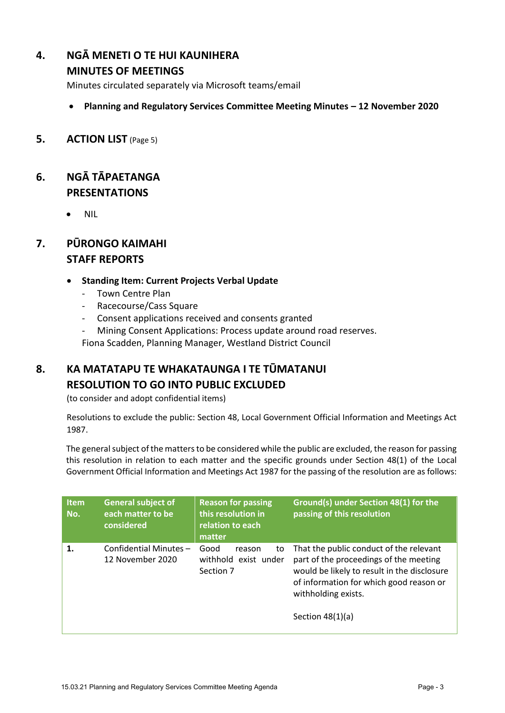# **4. NGĀ MENETI O TE HUI KAUNIHERA**

#### **MINUTES OF MEETINGS**

Minutes circulated separately via Microsoft teams/email

- **Planning and Regulatory Services Committee Meeting Minutes – 12 November 2020**
- **5. ACTION LIST** (Page 5)

## **6. NGĀ TĀPAETANGA PRESENTATIONS**

• NIL

# **7. PŪRONGO KAIMAHI STAFF REPORTS**

#### **Standing Item: Current Projects Verbal Update**

- Town Centre Plan
- Racecourse/Cass Square
- Consent applications received and consents granted
- Mining Consent Applications: Process update around road reserves.

Fiona Scadden, Planning Manager, Westland District Council

### **8. KA MATATAPU TE WHAKATAUNGA I TE TŪMATANUI RESOLUTION TO GO INTO PUBLIC EXCLUDED**

(to consider and adopt confidential items)

Resolutions to exclude the public: Section 48, Local Government Official Information and Meetings Act 1987.

The general subject of the matters to be considered while the public are excluded, the reason for passing this resolution in relation to each matter and the specific grounds under Section 48(1) of the Local Government Official Information and Meetings Act 1987 for the passing of the resolution are as follows:

| <b>Item</b><br>No. | <b>General subject of</b><br>each matter to be<br>considered | <b>Reason for passing</b><br>this resolution in<br>relation to each<br>matter | Ground(s) under Section 48(1) for the<br>passing of this resolution                                                                                                                                                      |
|--------------------|--------------------------------------------------------------|-------------------------------------------------------------------------------|--------------------------------------------------------------------------------------------------------------------------------------------------------------------------------------------------------------------------|
| 1.                 | Confidential Minutes-<br>12 November 2020                    | Good<br>to<br>reason<br>withhold exist under<br>Section 7                     | That the public conduct of the relevant<br>part of the proceedings of the meeting<br>would be likely to result in the disclosure<br>of information for which good reason or<br>withholding exists.<br>Section $48(1)(a)$ |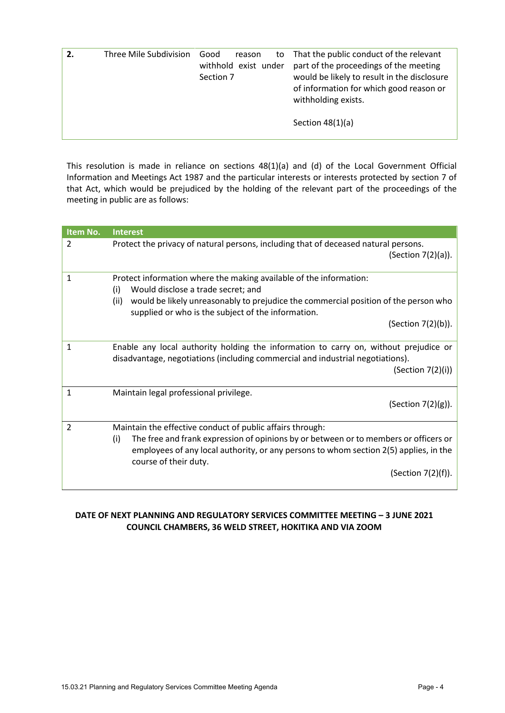| Three Mile Subdivision | Good<br>reason<br>to<br>withhold exist under<br>Section 7 | That the public conduct of the relevant<br>part of the proceedings of the meeting<br>would be likely to result in the disclosure<br>of information for which good reason or<br>withholding exists. |
|------------------------|-----------------------------------------------------------|----------------------------------------------------------------------------------------------------------------------------------------------------------------------------------------------------|
|                        |                                                           | Section $48(1)(a)$                                                                                                                                                                                 |

This resolution is made in reliance on sections 48(1)(a) and (d) of the Local Government Official Information and Meetings Act 1987 and the particular interests or interests protected by section 7 of that Act, which would be prejudiced by the holding of the relevant part of the proceedings of the meeting in public are as follows:

| Item No.       | <b>Interest</b>                                                                                                                                                                             |
|----------------|---------------------------------------------------------------------------------------------------------------------------------------------------------------------------------------------|
| 2              | Protect the privacy of natural persons, including that of deceased natural persons.<br>(Section $7(2)(a)$ ).                                                                                |
| 1              | Protect information where the making available of the information:<br>Would disclose a trade secret; and<br>(i)                                                                             |
|                | would be likely unreasonably to prejudice the commercial position of the person who<br>(ii)<br>supplied or who is the subject of the information.                                           |
|                | (Section 7(2)(b)).                                                                                                                                                                          |
| 1              | Enable any local authority holding the information to carry on, without prejudice or<br>disadvantage, negotiations (including commercial and industrial negotiations).<br>(Section 7(2)(i)) |
|                |                                                                                                                                                                                             |
| 1              | Maintain legal professional privilege.<br>(Section 7(2)(g)).                                                                                                                                |
| $\overline{2}$ | Maintain the effective conduct of public affairs through:<br>(i)<br>The free and frank expression of opinions by or between or to members or officers or                                    |
|                | employees of any local authority, or any persons to whom section 2(5) applies, in the<br>course of their duty.                                                                              |
|                | (Section 7(2)(f)).                                                                                                                                                                          |

#### **DATE OF NEXT PLANNING AND REGULATORY SERVICES COMMITTEE MEETING – 3 JUNE 2021 COUNCIL CHAMBERS, 36 WELD STREET, HOKITIKA AND VIA ZOOM**